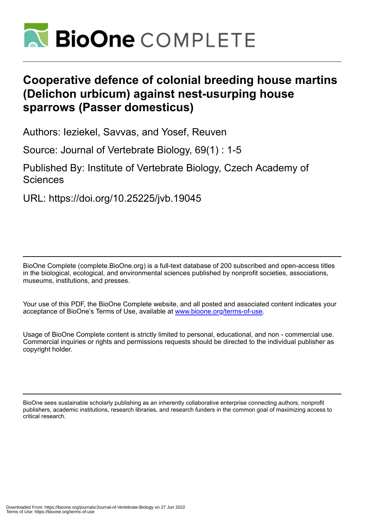

## **Cooperative defence of colonial breeding house martins (Delichon urbicum) against nest-usurping house sparrows (Passer domesticus)**

Authors: Ieziekel, Savvas, and Yosef, Reuven

Source: Journal of Vertebrate Biology, 69(1) : 1-5

Published By: Institute of Vertebrate Biology, Czech Academy of Sciences

URL: https://doi.org/10.25225/jvb.19045

BioOne Complete (complete.BioOne.org) is a full-text database of 200 subscribed and open-access titles in the biological, ecological, and environmental sciences published by nonprofit societies, associations, museums, institutions, and presses.

Your use of this PDF, the BioOne Complete website, and all posted and associated content indicates your acceptance of BioOne's Terms of Use, available at www.bioone.org/terms-of-use.

Usage of BioOne Complete content is strictly limited to personal, educational, and non - commercial use. Commercial inquiries or rights and permissions requests should be directed to the individual publisher as copyright holder.

BioOne sees sustainable scholarly publishing as an inherently collaborative enterprise connecting authors, nonprofit publishers, academic institutions, research libraries, and research funders in the common goal of maximizing access to critical research.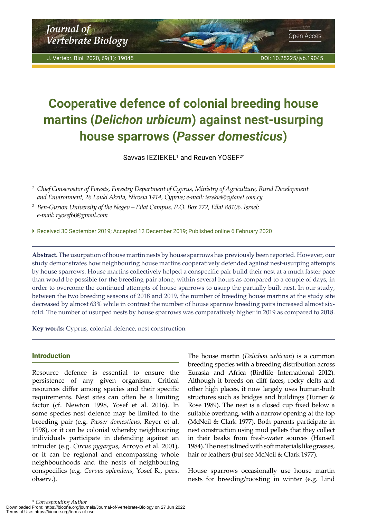<span id="page-1-0"></span>*Journal of* **Vertebrate Biology Open Acces** 

# **Cooperative defence of colonial breeding house martins (***Delichon urbicum***) against nest-usurping house sparrows (***Passer domesticus***)**

Savvas IEZIEKEL $^{\scriptscriptstyle 1}$  and Reuven YOSEF $^{\scriptscriptstyle 2^{\ast}}$ 

*<sup>1</sup> Chief Conservator of Forests, Forestry Department of Cyprus, Ministry of Agriculture, Rural Development and Environment, 26 Louki Akrita, Nicosia 1414, Cyprus; e-mail: [iezekiel@cytanet.com.cy](mailto:iezekiel@cytanet.com.cy)*

*<sup>2</sup> Ben-Gurion University of the Negev – Eilat Campus, P.O. Box 272, Eilat 88106, Israel; e-mail: ryosef60@gmail.com*

 Received 30 September 2019; Accepted 12 December 2019; Published online 6 February 2020

**Abstract.** The usurpation of house martin nests by house sparrows has previously been reported. However, our study demonstrates how neighbouring house martins cooperatively defended against nest-usurping attempts by house sparrows. House martins collectively helped a conspecific pair build their nest at a much faster pace than would be possible for the breeding pair alone, within several hours as compared to a couple of days, in order to overcome the continued attempts of house sparrows to usurp the partially built nest. In our study, between the two breeding seasons of 2018 and 2019, the number of breeding house martins at the study site decreased by almost 63% while in contrast the number of house sparrow breeding pairs increased almost sixfold. The number of usurped nests by house sparrows was comparatively higher in 2019 as compared to 2018.

**Key words:** Cyprus, colonial defence, nest construction

### Introduction

Resource defence is essential to ensure the persistence of any given organism. Critical resources differ among species and their specific requirements. Nest sites can often be a limiting factor (cf. Newton 1998, Yosef et al. 2016). In some species nest defence may be limited to the breeding pair (e.g. *Passer domesticus*, Reyer et al. 1998), or it can be colonial whereby neighbouring individuals participate in defending against an intruder (e.g. *Circus pygargus*, Arroyo et al. 2001), or it can be regional and encompassing whole neighbourhoods and the nests of neighbouring conspecifics (e.g. *Corvus splendens*, Yosef R., pers. observ.).

The house martin (*Delichon urbicum*) is a common breeding species with a breeding distribution across Eurasia and Africa (Birdlife International 2012). Although it breeds on cliff faces, rocky clefts and other high places, it now largely uses human-built structures such as bridges and buildings (Turner & Rose 1989). The nest is a closed cup fixed below a suitable overhang, with a narrow opening at the top (McNeil & Clark 1977). Both parents participate in nest construction using mud pellets that they collect in their beaks from fresh-water sources (Hansell 1984). The nest is lined with soft materials like grasses, hair or feathers (but see McNeil & Clark 1977).

House sparrows occasionally use house martin nests for breeding/roosting in winter (e.g. Lind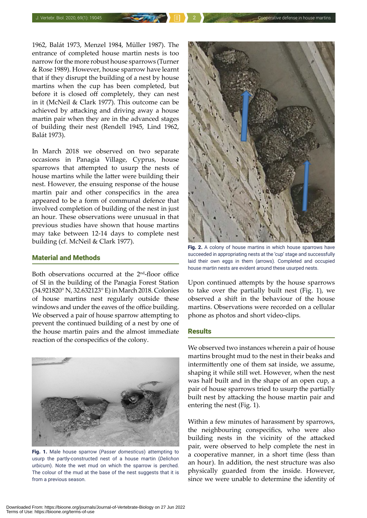1962, Balát 1973, Menzel 1984, Müller 1987). The entrance of completed house martin nests is too narrow for the more robust house sparrows (Turner & Rose 1989). However, house sparrow have learnt that if they disrupt the building of a nest by house martins when the cup has been completed, but before it is closed off completely, they can nest in it (McNeil & Clark 1977). This outcome can be achieved by attacking and driving away a house martin pair when they are in the advanced stages of building their nest (Rendell 1945, Lind 1962, Balát 1973).

In March 2018 we observed on two separate occasions in Panagia Village, Cyprus, house sparrows that attempted to usurp the nests of house martins while the latter were building their nest. However, the ensuing response of the house martin pair and other conspecifics in the area appeared to be a form of communal defence that involved completion of building of the nest in just an hour. These observations were unusual in that previous studies have shown that house martins may take between 12-14 days to complete nest building (cf. McNeil & Clark 1977).

#### Material and Methods

Both observations occurred at the 2nd-floor office of SI in the building of the Panagia Forest Station (34.921820° N, 32.632123° E) in March 2018. Colonies of house martins nest regularly outside these windows and under the eaves of the office building. We observed a pair of house sparrow attempting to prevent the continued building of a nest by one of the house martin pairs and the almost immediate reaction of the conspecifics of the colony.



Fig. 1. Male house sparrow (*Passer domesticus*) attempting to usurp the partly-constructed nest of a house martin (*Delichon urbicum*). Note the wet mud on which the sparrow is perched. The colour of the mud at the base of the nest suggests that it is from a previous season.



Fig. 2. A colony of house martins in which house sparrows have succeeded in appropriating nests at the 'cup' stage and successfully laid their own eggs in them (arrows). Completed and occupied house martin nests are evident around these usurped nests.

Upon continued attempts by the house sparrows to take over the partially built nest (Fig. 1), we observed a shift in the behaviour of the house martins. Observations were recorded on a cellular phone as photos and short video-clips.

#### **Results**

We observed two instances wherein a pair of house martins brought mud to the nest in their beaks and intermittently one of them sat inside, we assume, shaping it while still wet. However, when the nest was half built and in the shape of an open cup, a pair of house sparrows tried to usurp the partially built nest by attacking the house martin pair and entering the nest (Fig. 1).

Within a few minutes of harassment by sparrows, the neighbouring conspecifics, who were also building nests in the vicinity of the attacked pair, were observed to help complete the nest in a cooperative manner, in a short time (less than an hour). In addition, the nest structure was also physically guarded from the inside. However, since we were unable to determine the identity of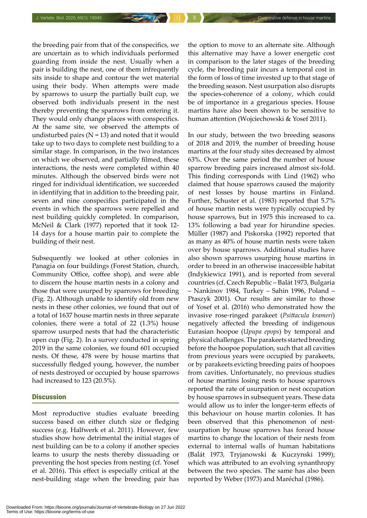the breeding pair from that of the conspecifics, we are uncertain as to which individuals performed guarding from inside the nest. Usually when a pair is building the nest, one of them infrequently sits inside to shape and contour the wet material using their body. When attempts were made by sparrows to usurp the partially built cup, we observed both individuals present in the nest thereby preventing the sparrows from entering it. They would only change places with conspecifics. At the same site, we observed the attempts of undisturbed pairs ( $N = 13$ ) and noted that it would take up to two days to complete nest building to a similar stage. In comparison, in the two instances on which we observed, and partially filmed, these interactions, the nests were completed within 40 minutes. Although the observed birds were not ringed for individual identification, we succeeded in identifying that in addition to the breeding pair, seven and nine conspecifics participated in the events in which the sparrows were repelled and nest building quickly completed. In comparison, McNeil & Clark (1977) reported that it took 12- 14 days for a house martin pair to complete the building of their nest.

Subsequently we looked at other colonies in Panagia on four buildings (Forest Station, church, Community Office, coffee shop), and were able to discern the house martin nests in a colony and those that were usurped by sparrows for breeding (Fig. 2). Although unable to identify old from new nests in these other colonies, we found that out of a total of 1637 house martin nests in three separate colonies, there were a total of 22 (1.3%) house sparrow usurped nests that had the characteristic open cup (Fig. 2). In a survey conducted in spring 2019 in the same colonies, we found 601 occupied nests. Of these, 478 were by house martins that successfully fledged young, however, the number of nests destroyed or occupied by house sparrows had increased to 123 (20.5%).

#### **Discussion**

Most reproductive studies evaluate breeding success based on either clutch size or fledging success (e.g. Halfwerk et al. 2011). However, few studies show how detrimental the initial stages of nest building can be to a colony if another species learns to usurp the nests thereby dissuading or preventing the host species from nesting (cf. Yosef et al. 2016). This effect is especially critical at the nest-building stage when the breeding pair has

the option to move to an alternate site. Although this alternative may have a lower energetic cost in comparison to the later stages of the breeding cycle, the breeding pair incurs a temporal cost in the form of loss of time invested up to that stage of the breeding season. Nest usurpation also disrupts the species-coherence of a colony, which could be of importance in a gregarious species. House martins have also been shown to be sensitive to human attention (Wojciechowski & Yosef 2011).

In our study, between the two breeding seasons of 2018 and 2019, the number of breeding house martins at the four study sites decreased by almost 63%. Over the same period the number of house sparrow breeding pairs increased almost six-fold. This finding corresponds with Lind (1962) who claimed that house sparrows caused the majority of nest losses by house martins in Finland. Further, Schuster et al. (1983) reported that 5.7% of house martin nests were typically occupied by house sparrows, but in 1975 this increased to ca. 13% following a bad year for hirundine species. Müller (1987) and Piskorska (1992) reported that as many as 40% of house martin nests were taken over by house sparrows. Additional studies have also shown sparrows usurping house martins in order to breed in an otherwise inaccessible habitat (Indykiewicz 1991), and is reported from several countries (cf. Czech Republic – Balát 1973, Bulgaria – Nankinov 1984, Turkey – Sahin 1996, Poland – Ptaszyk 2001). Our results are similar to those of Yosef et al. (2016) who demonstrated how the invasive rose-ringed parakeet (*Psittacula krameri*) negatively affected the breeding of indigenous Eurasian hoopoe (*Upupa epops*) by temporal and physical challenges. The parakeets started breeding before the hoopoe population, such that all cavities from previous years were occupied by parakeets, or by parakeets evicting breeding pairs of hoopoes from cavities. Unfortunately, no previous studies of house martins losing nests to house sparrows reported the rate of usurpation or nest occupation by house sparrows in subsequent years. These data would allow us to infer the longer-term effects of this behaviour on house martin colonies. It has been observed that this phenomenon of nestusurpation by house sparrows has forced house martins to change the location of their nests from external to internal walls of human habitations (Balát 1973, Tryjanowski & Kuczynski 1999); which was attributed to an evolving synanthropy between the two species. The same has also been reported by Weber (1973) and Maréchal (1986).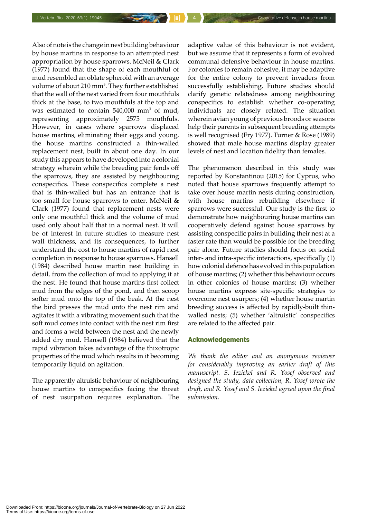Also of note is the change in nest building behaviour by house martins in response to an attempted nest appropriation by house sparrows. McNeil & Clark (1977) found that the shape of each mouthful of mud resembled an oblate spheroid with an average volume of about 210 mm<sup>3</sup>. They further established that the wall of the nest varied from four mouthfuls thick at the base, to two mouthfuls at the top and was estimated to contain  $540,000$  mm<sup>3</sup> of mud, representing approximately 2575 mouthfuls. However, in cases where sparrows displaced house martins, eliminating their eggs and young, the house martins constructed a thin-walled replacement nest, built in about one day. In our study this appears to have developed into a colonial strategy wherein while the breeding pair fends off the sparrows, they are assisted by neighbouring conspecifics. These conspecifics complete a nest that is thin-walled but has an entrance that is too small for house sparrows to enter. McNeil & Clark (1977) found that replacement nests were only one mouthful thick and the volume of mud used only about half that in a normal nest. It will be of interest in future studies to measure nest wall thickness, and its consequences, to further understand the cost to house martins of rapid nest completion in response to house sparrows. Hansell (1984) described house martin nest building in detail, from the collection of mud to applying it at the nest. He found that house martins first collect mud from the edges of the pond, and then scoop softer mud onto the top of the beak. At the nest the bird presses the mud onto the nest rim and agitates it with a vibrating movement such that the soft mud comes into contact with the nest rim first and forms a weld between the nest and the newly added dry mud. Hansell (1984) believed that the rapid vibration takes advantage of the thixotropic properties of the mud which results in it becoming temporarily liquid on agitation.

The apparently altruistic behaviour of neighbouring house martins to conspecifics facing the threat of nest usurpation requires explanation. The adaptive value of this behaviour is not evident, but we assume that it represents a form of evolved communal defensive behaviour in house martins. For colonies to remain cohesive, it may be adaptive for the entire colony to prevent invaders from successfully establishing. Future studies should clarify genetic relatedness among neighbouring conspecifics to establish whether co-operating individuals are closely related. The situation wherein avian young of previous broods or seasons help their parents in subsequent breeding attempts is well recognised (Fry 1977). Turner & Rose (1989) showed that male house martins display greater levels of nest and location fidelity than females.

The phenomenon described in this study was reported by Konstantinou (2015) for Cyprus, who noted that house sparrows frequently attempt to take over house martin nests during construction, with house martins rebuilding elsewhere if sparrows were successful. Our study is the first to demonstrate how neighbouring house martins can cooperatively defend against house sparrows by assisting conspecific pairs in building their nest at a faster rate than would be possible for the breeding pair alone. Future studies should focus on social inter- and intra-specific interactions, specifically (1) how colonial defence has evolved in this population of house martins; (2) whether this behaviour occurs in other colonies of house martins; (3) whether house martins express site-specific strategies to overcome nest usurpers; (4) whether house martin breeding success is affected by rapidly-built thinwalled nests; (5) whether 'altruistic' conspecifics are related to the affected pair.

#### Acknowledgements

*We thank the editor and an anonymous reviewer for considerably improving an earlier draft of this manuscript. S. Ieziekel and R. Yosef observed and designed the study, data collection, R. Yosef wrote the draft, and R. Yosef and S. Ieziekel agreed upon the final submission.*